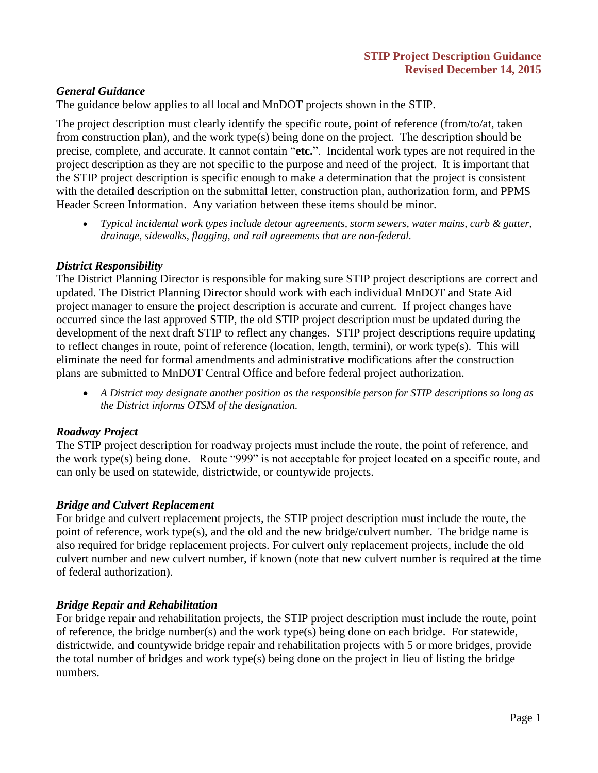#### *General Guidance*

The guidance below applies to all local and MnDOT projects shown in the STIP.

The project description must clearly identify the specific route, point of reference (from/to/at, taken from construction plan), and the work type(s) being done on the project. The description should be precise, complete, and accurate. It cannot contain "**etc.**". Incidental work types are not required in the project description as they are not specific to the purpose and need of the project. It is important that the STIP project description is specific enough to make a determination that the project is consistent with the detailed description on the submittal letter, construction plan, authorization form, and PPMS Header Screen Information. Any variation between these items should be minor.

 *Typical incidental work types include detour agreements, storm sewers, water mains, curb & gutter, drainage, sidewalks, flagging, and rail agreements that are non-federal.*

#### *District Responsibility*

The District Planning Director is responsible for making sure STIP project descriptions are correct and updated. The District Planning Director should work with each individual MnDOT and State Aid project manager to ensure the project description is accurate and current. If project changes have occurred since the last approved STIP, the old STIP project description must be updated during the development of the next draft STIP to reflect any changes. STIP project descriptions require updating to reflect changes in route, point of reference (location, length, termini), or work type(s). This will eliminate the need for formal amendments and administrative modifications after the construction plans are submitted to MnDOT Central Office and before federal project authorization.

 *A District may designate another position as the responsible person for STIP descriptions so long as the District informs OTSM of the designation.*

#### *Roadway Project*

The STIP project description for roadway projects must include the route, the point of reference, and the work type(s) being done. Route "999" is not acceptable for project located on a specific route, and can only be used on statewide, districtwide, or countywide projects.

#### *Bridge and Culvert Replacement*

For bridge and culvert replacement projects, the STIP project description must include the route, the point of reference, work type(s), and the old and the new bridge/culvert number. The bridge name is also required for bridge replacement projects. For culvert only replacement projects, include the old culvert number and new culvert number, if known (note that new culvert number is required at the time of federal authorization).

#### *Bridge Repair and Rehabilitation*

For bridge repair and rehabilitation projects, the STIP project description must include the route, point of reference, the bridge number(s) and the work type(s) being done on each bridge. For statewide, districtwide, and countywide bridge repair and rehabilitation projects with 5 or more bridges, provide the total number of bridges and work type(s) being done on the project in lieu of listing the bridge numbers.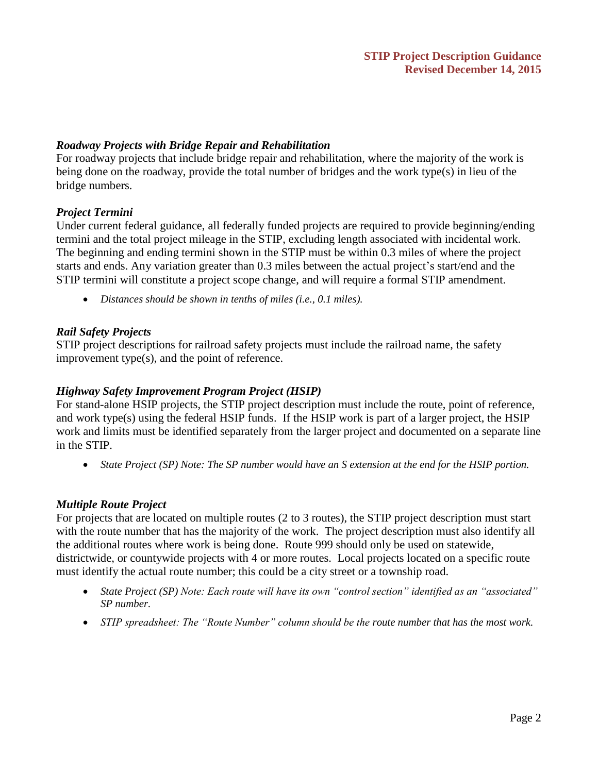#### *Roadway Projects with Bridge Repair and Rehabilitation*

For roadway projects that include bridge repair and rehabilitation, where the majority of the work is being done on the roadway, provide the total number of bridges and the work type(s) in lieu of the bridge numbers.

#### *Project Termini*

Under current federal guidance, all federally funded projects are required to provide beginning/ending termini and the total project mileage in the STIP, excluding length associated with incidental work. The beginning and ending termini shown in the STIP must be within 0.3 miles of where the project starts and ends. Any variation greater than 0.3 miles between the actual project's start/end and the STIP termini will constitute a project scope change, and will require a formal STIP amendment.

*Distances should be shown in tenths of miles (i.e., 0.1 miles).* 

#### *Rail Safety Projects*

STIP project descriptions for railroad safety projects must include the railroad name, the safety improvement type(s), and the point of reference.

#### *Highway Safety Improvement Program Project (HSIP)*

For stand-alone HSIP projects, the STIP project description must include the route, point of reference, and work type(s) using the federal HSIP funds. If the HSIP work is part of a larger project, the HSIP work and limits must be identified separately from the larger project and documented on a separate line in the STIP.

*State Project (SP) Note: The SP number would have an S extension at the end for the HSIP portion.* 

#### *Multiple Route Project*

For projects that are located on multiple routes (2 to 3 routes), the STIP project description must start with the route number that has the majority of the work. The project description must also identify all the additional routes where work is being done. Route 999 should only be used on statewide, districtwide, or countywide projects with 4 or more routes. Local projects located on a specific route must identify the actual route number; this could be a city street or a township road.

- *State Project (SP) Note: Each route will have its own "control section" identified as an "associated" SP number.*
- *STIP spreadsheet: The "Route Number" column should be the route number that has the most work.*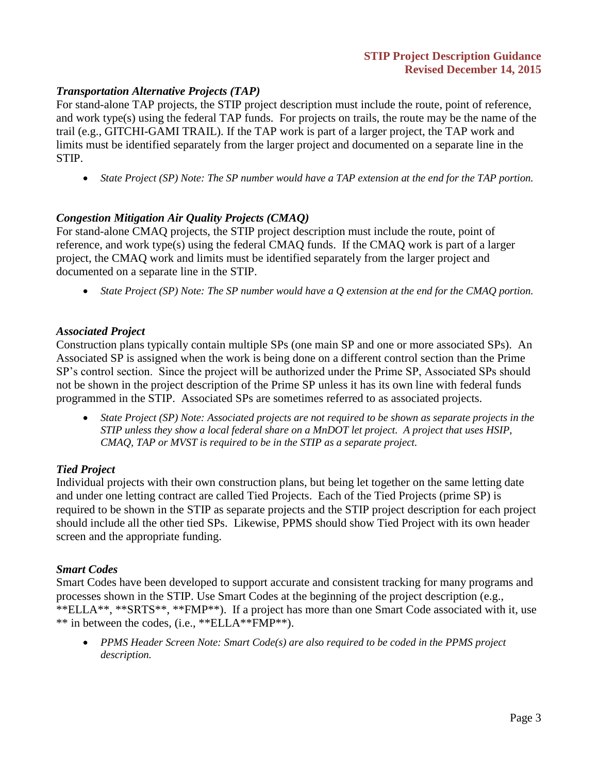#### *Transportation Alternative Projects (TAP)*

For stand-alone TAP projects, the STIP project description must include the route, point of reference, and work type(s) using the federal TAP funds. For projects on trails, the route may be the name of the trail (e.g., GITCHI-GAMI TRAIL). If the TAP work is part of a larger project, the TAP work and limits must be identified separately from the larger project and documented on a separate line in the STIP.

*State Project (SP) Note: The SP number would have a TAP extension at the end for the TAP portion.* 

#### *Congestion Mitigation Air Quality Projects (CMAQ)*

For stand-alone CMAQ projects, the STIP project description must include the route, point of reference, and work type(s) using the federal CMAQ funds. If the CMAQ work is part of a larger project, the CMAQ work and limits must be identified separately from the larger project and documented on a separate line in the STIP.

*State Project (SP) Note: The SP number would have a Q extension at the end for the CMAQ portion.* 

#### *Associated Project*

Construction plans typically contain multiple SPs (one main SP and one or more associated SPs). An Associated SP is assigned when the work is being done on a different control section than the Prime SP's control section. Since the project will be authorized under the Prime SP, Associated SPs should not be shown in the project description of the Prime SP unless it has its own line with federal funds programmed in the STIP. Associated SPs are sometimes referred to as associated projects.

 *State Project (SP) Note: Associated projects are not required to be shown as separate projects in the STIP unless they show a local federal share on a MnDOT let project. A project that uses HSIP, CMAQ, TAP or MVST is required to be in the STIP as a separate project.* 

#### *Tied Project*

Individual projects with their own construction plans, but being let together on the same letting date and under one letting contract are called Tied Projects. Each of the Tied Projects (prime SP) is required to be shown in the STIP as separate projects and the STIP project description for each project should include all the other tied SPs. Likewise, PPMS should show Tied Project with its own header screen and the appropriate funding.

#### *Smart Codes*

Smart Codes have been developed to support accurate and consistent tracking for many programs and processes shown in the STIP. Use Smart Codes at the beginning of the project description (e.g., \*\*ELLA\*\*, \*\*SRTS\*\*, \*\*FMP\*\*). If a project has more than one Smart Code associated with it, use \*\* in between the codes, (i.e., \*\*ELLA\*\*FMP\*\*).

 *PPMS Header Screen Note: Smart Code(s) are also required to be coded in the PPMS project description.*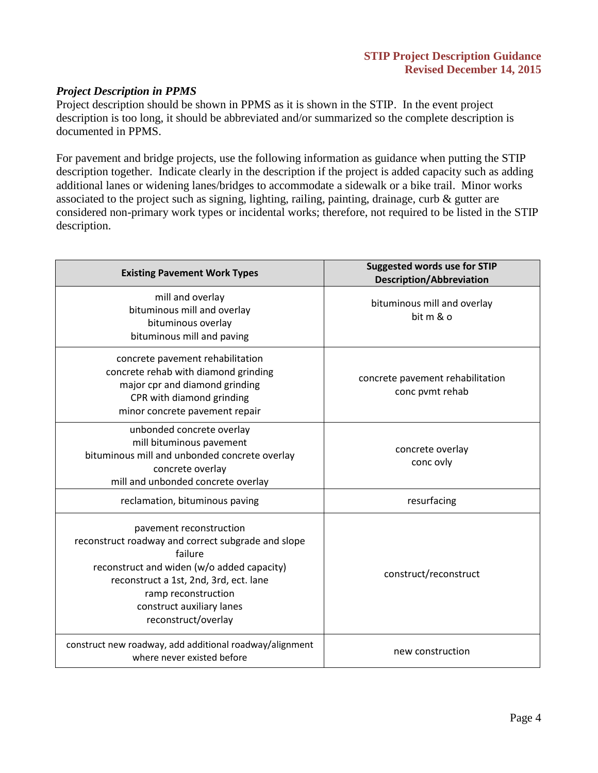#### *Project Description in PPMS*

Project description should be shown in PPMS as it is shown in the STIP. In the event project description is too long, it should be abbreviated and/or summarized so the complete description is documented in PPMS.

For pavement and bridge projects, use the following information as guidance when putting the STIP description together. Indicate clearly in the description if the project is added capacity such as adding additional lanes or widening lanes/bridges to accommodate a sidewalk or a bike trail. Minor works associated to the project such as signing, lighting, railing, painting, drainage, curb & gutter are considered non-primary work types or incidental works; therefore, not required to be listed in the STIP description.

| <b>Existing Pavement Work Types</b>                                                                                                                                                                                                                         | <b>Suggested words use for STIP</b><br><b>Description/Abbreviation</b> |
|-------------------------------------------------------------------------------------------------------------------------------------------------------------------------------------------------------------------------------------------------------------|------------------------------------------------------------------------|
| mill and overlay<br>bituminous mill and overlay<br>bituminous overlay<br>bituminous mill and paving                                                                                                                                                         | bituminous mill and overlay<br>bit m & o                               |
| concrete pavement rehabilitation<br>concrete rehab with diamond grinding<br>major cpr and diamond grinding<br>CPR with diamond grinding<br>minor concrete pavement repair                                                                                   | concrete pavement rehabilitation<br>conc pvmt rehab                    |
| unbonded concrete overlay<br>mill bituminous pavement<br>bituminous mill and unbonded concrete overlay<br>concrete overlay<br>mill and unbonded concrete overlay                                                                                            | concrete overlay<br>conc ovly                                          |
| reclamation, bituminous paving                                                                                                                                                                                                                              | resurfacing                                                            |
| pavement reconstruction<br>reconstruct roadway and correct subgrade and slope<br>failure<br>reconstruct and widen (w/o added capacity)<br>reconstruct a 1st, 2nd, 3rd, ect. lane<br>ramp reconstruction<br>construct auxiliary lanes<br>reconstruct/overlay | construct/reconstruct                                                  |
| construct new roadway, add additional roadway/alignment<br>where never existed before                                                                                                                                                                       | new construction                                                       |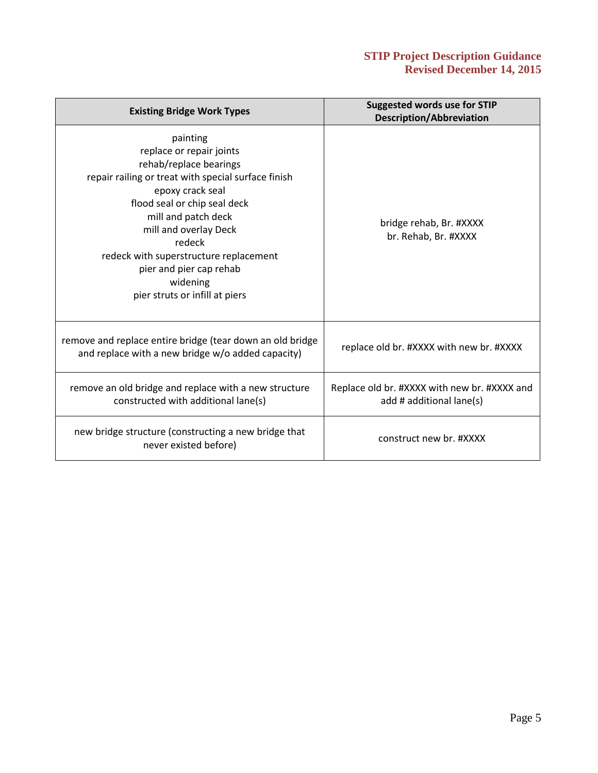#### **STIP Project Description Guidance Revised December 14, 2015**

| <b>Existing Bridge Work Types</b>                                                                                                                                                                                                                                                                                                                      | <b>Suggested words use for STIP</b><br><b>Description/Abbreviation</b>   |
|--------------------------------------------------------------------------------------------------------------------------------------------------------------------------------------------------------------------------------------------------------------------------------------------------------------------------------------------------------|--------------------------------------------------------------------------|
| painting<br>replace or repair joints<br>rehab/replace bearings<br>repair railing or treat with special surface finish<br>epoxy crack seal<br>flood seal or chip seal deck<br>mill and patch deck<br>mill and overlay Deck<br>redeck<br>redeck with superstructure replacement<br>pier and pier cap rehab<br>widening<br>pier struts or infill at piers | bridge rehab, Br. #XXXX<br>br. Rehab, Br. #XXXX                          |
| remove and replace entire bridge (tear down an old bridge<br>and replace with a new bridge w/o added capacity)                                                                                                                                                                                                                                         | replace old br. #XXXX with new br. #XXXX                                 |
| remove an old bridge and replace with a new structure<br>constructed with additional lane(s)                                                                                                                                                                                                                                                           | Replace old br. #XXXX with new br. #XXXX and<br>add # additional lane(s) |
| new bridge structure (constructing a new bridge that<br>never existed before)                                                                                                                                                                                                                                                                          | construct new br. #XXXX                                                  |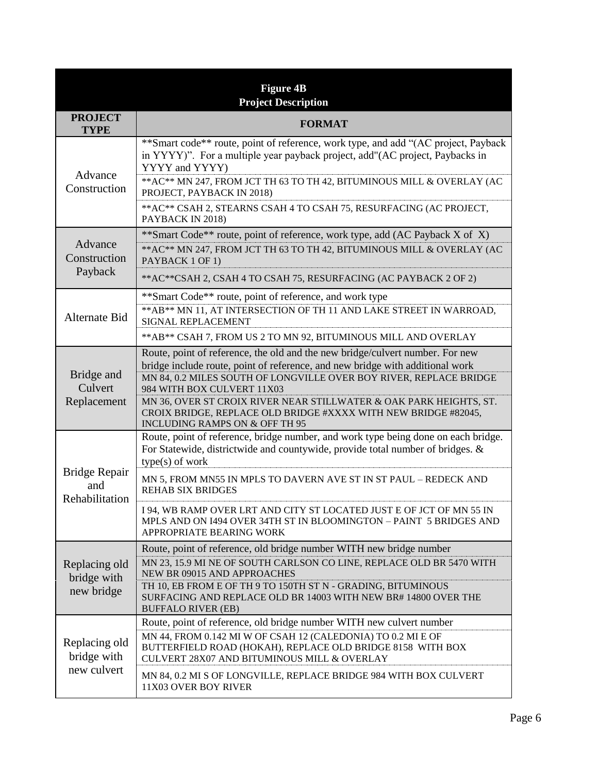| <b>Figure 4B</b><br><b>Project Description</b> |                                                                                                                                                                                                                                                                                                                                                                                                            |  |
|------------------------------------------------|------------------------------------------------------------------------------------------------------------------------------------------------------------------------------------------------------------------------------------------------------------------------------------------------------------------------------------------------------------------------------------------------------------|--|
| <b>PROJECT</b><br><b>TYPE</b>                  | <b>FORMAT</b>                                                                                                                                                                                                                                                                                                                                                                                              |  |
| Advance<br>Construction                        | **Smart code** route, point of reference, work type, and add "(AC project, Payback<br>in YYYY)". For a multiple year payback project, add"(AC project, Paybacks in<br>YYYY and YYYY)<br>** AC** MN 247, FROM JCT TH 63 TO TH 42, BITUMINOUS MILL & OVERLAY (AC<br>PROJECT, PAYBACK IN 2018)<br>** AC** CSAH 2, STEARNS CSAH 4 TO CSAH 75, RESURFACING (AC PROJECT,<br>PAYBACK IN 2018)                     |  |
|                                                | **Smart Code** route, point of reference, work type, add (AC Payback X of X)                                                                                                                                                                                                                                                                                                                               |  |
| Advance<br>Construction<br>Payback             | ** AC** MN 247, FROM JCT TH 63 TO TH 42, BITUMINOUS MILL & OVERLAY (AC<br>PAYBACK 1 OF 1)                                                                                                                                                                                                                                                                                                                  |  |
|                                                | ** AC** CSAH 2, CSAH 4 TO CSAH 75, RESURFACING (AC PAYBACK 2 OF 2)                                                                                                                                                                                                                                                                                                                                         |  |
| Alternate Bid                                  | **Smart Code** route, point of reference, and work type<br>** AB** MN 11, AT INTERSECTION OF TH 11 AND LAKE STREET IN WARROAD,<br>SIGNAL REPLACEMENT                                                                                                                                                                                                                                                       |  |
|                                                | ** AB** CSAH 7, FROM US 2 TO MN 92, BITUMINOUS MILL AND OVERLAY                                                                                                                                                                                                                                                                                                                                            |  |
| Bridge and<br>Culvert<br>Replacement           | Route, point of reference, the old and the new bridge/culvert number. For new<br>bridge include route, point of reference, and new bridge with additional work<br>MN 84, 0.2 MILES SOUTH OF LONGVILLE OVER BOY RIVER, REPLACE BRIDGE<br>984 WITH BOX CULVERT 11X03<br>MN 36, OVER ST CROIX RIVER NEAR STILLWATER & OAK PARK HEIGHTS, ST.<br>CROIX BRIDGE, REPLACE OLD BRIDGE #XXXX WITH NEW BRIDGE #82045, |  |
| <b>Bridge Repair</b><br>and<br>Rehabilitation  | INCLUDING RAMPS ON & OFF TH 95<br>Route, point of reference, bridge number, and work type being done on each bridge.<br>For Statewide, districtwide and countywide, provide total number of bridges. &<br>$type(s)$ of work                                                                                                                                                                                |  |
|                                                | MN 5, FROM MN55 IN MPLS TO DAVERN AVE ST IN ST PAUL - REDECK AND<br><b>REHAB SIX BRIDGES</b>                                                                                                                                                                                                                                                                                                               |  |
|                                                | I 94, WB RAMP OVER LRT AND CITY ST LOCATED JUST E OF JCT OF MN 55 IN<br>MPLS AND ON I494 OVER 34TH ST IN BLOOMINGTON - PAINT 5 BRIDGES AND<br>APPROPRIATE BEARING WORK                                                                                                                                                                                                                                     |  |
| Replacing old<br>bridge with<br>new bridge     | Route, point of reference, old bridge number WITH new bridge number<br>MN 23, 15.9 MI NE OF SOUTH CARLSON CO LINE, REPLACE OLD BR 5470 WITH<br>NEW BR 09015 AND APPROACHES<br>TH 10, EB FROM E OF TH 9 TO 150TH ST N - GRADING, BITUMINOUS<br>SURFACING AND REPLACE OLD BR 14003 WITH NEW BR# 14800 OVER THE<br><b>BUFFALO RIVER (EB)</b>                                                                  |  |
| Replacing old<br>bridge with<br>new culvert    | Route, point of reference, old bridge number WITH new culvert number<br>MN 44, FROM 0.142 MI W OF CSAH 12 (CALEDONIA) TO 0.2 MI E OF<br>BUTTERFIELD ROAD (HOKAH), REPLACE OLD BRIDGE 8158 WITH BOX<br>CULVERT 28X07 AND BITUMINOUS MILL & OVERLAY                                                                                                                                                          |  |
|                                                | MN 84, 0.2 MI S OF LONGVILLE, REPLACE BRIDGE 984 WITH BOX CULVERT<br>11X03 OVER BOY RIVER                                                                                                                                                                                                                                                                                                                  |  |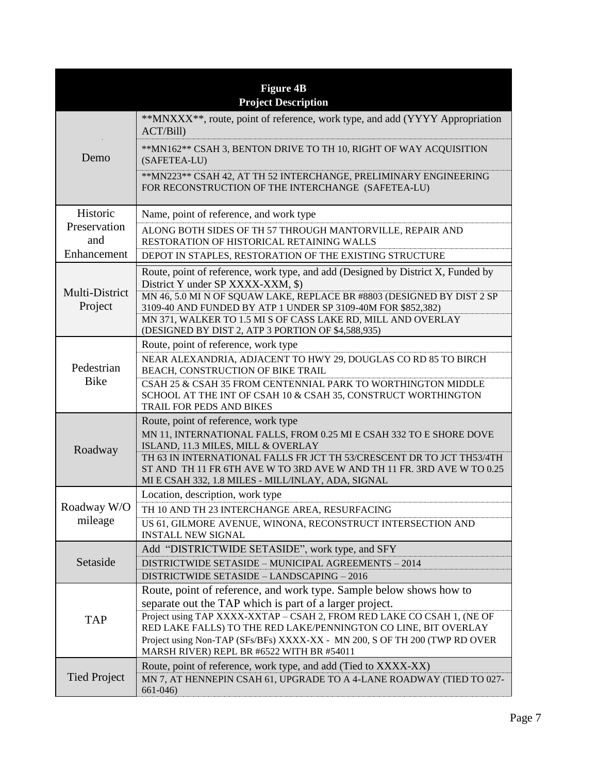| <b>Figure 4B</b><br><b>Project Description</b> |                                                                                                                                                                                                        |  |
|------------------------------------------------|--------------------------------------------------------------------------------------------------------------------------------------------------------------------------------------------------------|--|
| Demo                                           | **MNXXX**, route, point of reference, work type, and add (YYYY Appropriation<br>ACT/Bill)                                                                                                              |  |
|                                                | **MN162** CSAH 3, BENTON DRIVE TO TH 10, RIGHT OF WAY ACQUISITION<br>(SAFETEA-LU)                                                                                                                      |  |
|                                                | ** MN223** CSAH 42, AT TH 52 INTERCHANGE, PRELIMINARY ENGINEERING<br>FOR RECONSTRUCTION OF THE INTERCHANGE (SAFETEA-LU)                                                                                |  |
| Historic                                       | Name, point of reference, and work type                                                                                                                                                                |  |
| Preservation<br>and                            | ALONG BOTH SIDES OF TH 57 THROUGH MANTORVILLE, REPAIR AND<br>RESTORATION OF HISTORICAL RETAINING WALLS                                                                                                 |  |
| Enhancement                                    | DEPOT IN STAPLES, RESTORATION OF THE EXISTING STRUCTURE                                                                                                                                                |  |
| Multi-District<br>Project                      | Route, point of reference, work type, and add (Designed by District X, Funded by<br>District Y under SP XXXX-XXM, \$)                                                                                  |  |
|                                                | MN 46, 5.0 MI N OF SQUAW LAKE, REPLACE BR #8803 (DESIGNED BY DIST 2 SP<br>3109-40 AND FUNDED BY ATP 1 UNDER SP 3109-40M FOR \$852,382)<br>MN 371, WALKER TO 1.5 MI S OF CASS LAKE RD, MILL AND OVERLAY |  |
|                                                | (DESIGNED BY DIST 2, ATP 3 PORTION OF \$4,588,935)                                                                                                                                                     |  |
|                                                | Route, point of reference, work type                                                                                                                                                                   |  |
| Pedestrian                                     | NEAR ALEXANDRIA, ADJACENT TO HWY 29, DOUGLAS CO RD 85 TO BIRCH<br>BEACH, CONSTRUCTION OF BIKE TRAIL                                                                                                    |  |
| <b>Bike</b>                                    | CSAH 25 & CSAH 35 FROM CENTENNIAL PARK TO WORTHINGTON MIDDLE<br>SCHOOL AT THE INT OF CSAH 10 & CSAH 35, CONSTRUCT WORTHINGTON<br>TRAIL FOR PEDS AND BIKES                                              |  |
|                                                | Route, point of reference, work type                                                                                                                                                                   |  |
|                                                | MN 11, INTERNATIONAL FALLS, FROM 0.25 MI E CSAH 332 TO E SHORE DOVE<br>ISLAND, 11.3 MILES, MILL & OVERLAY                                                                                              |  |
| Roadway                                        | TH 63 IN INTERNATIONAL FALLS FR JCT TH 53/CRESCENT DR TO JCT TH53/4TH                                                                                                                                  |  |
|                                                | ST AND TH 11 FR 6TH AVE W TO 3RD AVE W AND TH 11 FR. 3RD AVE W TO 0.25<br>MI E CSAH 332, 1.8 MILES - MILL/INLAY, ADA, SIGNAL                                                                           |  |
|                                                | Location, description, work type                                                                                                                                                                       |  |
| Roadway W/O<br>mileage                         | TH 10 AND TH 23 INTERCHANGE AREA, RESURFACING                                                                                                                                                          |  |
|                                                | US 61, GILMORE AVENUE, WINONA, RECONSTRUCT INTERSECTION AND<br><b>INSTALL NEW SIGNAL</b>                                                                                                               |  |
|                                                | Add "DISTRICTWIDE SETASIDE", work type, and SFY                                                                                                                                                        |  |
| Setaside                                       | DISTRICTWIDE SETASIDE - MUNICIPAL AGREEMENTS - 2014                                                                                                                                                    |  |
|                                                | DISTRICTWIDE SETASIDE - LANDSCAPING - 2016<br>Route, point of reference, and work type. Sample below shows how to                                                                                      |  |
|                                                | separate out the TAP which is part of a larger project.                                                                                                                                                |  |
| <b>TAP</b>                                     | Project using TAP XXXX-XXTAP - CSAH 2, FROM RED LAKE CO CSAH 1, (NE OF                                                                                                                                 |  |
|                                                | RED LAKE FALLS) TO THE RED LAKE/PENNINGTON CO LINE, BIT OVERLAY                                                                                                                                        |  |
|                                                | Project using Non-TAP (SFs/BFs) XXXX-XX - MN 200, S OF TH 200 (TWP RD OVER<br>MARSH RIVER) REPL BR #6522 WITH BR #54011                                                                                |  |
| <b>Tied Project</b>                            | Route, point of reference, work type, and add (Tied to XXXX-XX)                                                                                                                                        |  |
|                                                | MN 7, AT HENNEPIN CSAH 61, UPGRADE TO A 4-LANE ROADWAY (TIED TO 027-<br>$661 - 046$                                                                                                                    |  |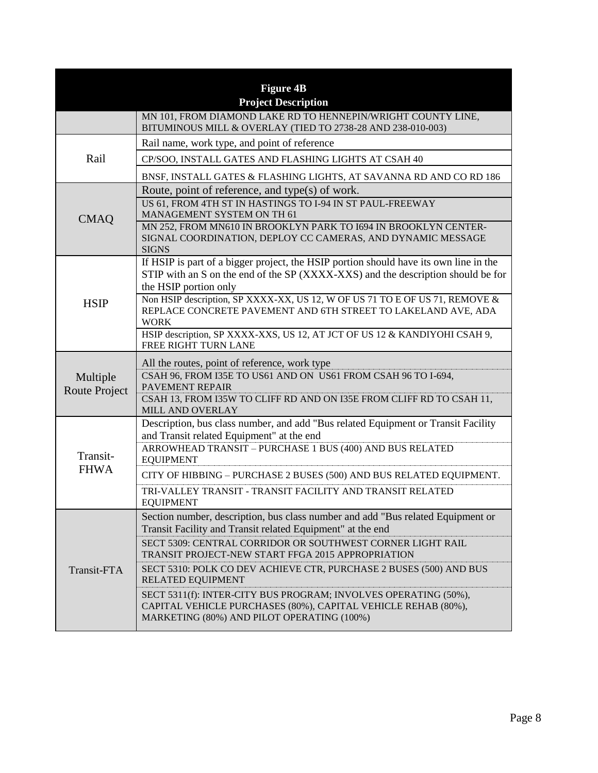| <b>Figure 4B</b><br><b>Project Description</b> |                                                                                                                                                                                                               |  |
|------------------------------------------------|---------------------------------------------------------------------------------------------------------------------------------------------------------------------------------------------------------------|--|
|                                                | MN 101, FROM DIAMOND LAKE RD TO HENNEPIN/WRIGHT COUNTY LINE,<br>BITUMINOUS MILL & OVERLAY (TIED TO 2738-28 AND 238-010-003)                                                                                   |  |
|                                                | Rail name, work type, and point of reference                                                                                                                                                                  |  |
| Rail                                           | CP/SOO, INSTALL GATES AND FLASHING LIGHTS AT CSAH 40                                                                                                                                                          |  |
|                                                | BNSF, INSTALL GATES & FLASHING LIGHTS, AT SAVANNA RD AND CO RD 186                                                                                                                                            |  |
| <b>CMAQ</b>                                    | Route, point of reference, and type(s) of work.<br>US 61, FROM 4TH ST IN HASTINGS TO I-94 IN ST PAUL-FREEWAY<br>MANAGEMENT SYSTEM ON TH 61<br>MN 252, FROM MN610 IN BROOKLYN PARK TO 1694 IN BROOKLYN CENTER- |  |
|                                                | SIGNAL COORDINATION, DEPLOY CC CAMERAS, AND DYNAMIC MESSAGE<br><b>SIGNS</b>                                                                                                                                   |  |
| <b>HSIP</b>                                    | If HSIP is part of a bigger project, the HSIP portion should have its own line in the<br>STIP with an S on the end of the SP (XXXX-XXS) and the description should be for<br>the HSIP portion only            |  |
|                                                | Non HSIP description, SP XXXX-XX, US 12, W OF US 71 TO E OF US 71, REMOVE &<br>REPLACE CONCRETE PAVEMENT AND 6TH STREET TO LAKELAND AVE, ADA<br><b>WORK</b>                                                   |  |
|                                                | HSIP description, SP XXXX-XXS, US 12, AT JCT OF US 12 & KANDIYOHI CSAH 9,<br>FREE RIGHT TURN LANE                                                                                                             |  |
|                                                | All the routes, point of reference, work type                                                                                                                                                                 |  |
| Multiple                                       | CSAH 96, FROM I35E TO US61 AND ON US61 FROM CSAH 96 TO I-694,<br><b>PAVEMENT REPAIR</b>                                                                                                                       |  |
| <b>Route Project</b>                           | CSAH 13, FROM I35W TO CLIFF RD AND ON I35E FROM CLIFF RD TO CSAH 11,<br>MILL AND OVERLAY                                                                                                                      |  |
| Transit-<br><b>FHWA</b>                        | Description, bus class number, and add "Bus related Equipment or Transit Facility<br>and Transit related Equipment" at the end                                                                                |  |
|                                                | ARROWHEAD TRANSIT - PURCHASE 1 BUS (400) AND BUS RELATED<br><b>EQUIPMENT</b>                                                                                                                                  |  |
|                                                | CITY OF HIBBING - PURCHASE 2 BUSES (500) AND BUS RELATED EQUIPMENT.                                                                                                                                           |  |
|                                                | TRI-VALLEY TRANSIT - TRANSIT FACILITY AND TRANSIT RELATED<br><b>EQUIPMENT</b>                                                                                                                                 |  |
| Transit-FTA                                    | Section number, description, bus class number and add "Bus related Equipment or<br>Transit Facility and Transit related Equipment" at the end                                                                 |  |
|                                                | SECT 5309: CENTRAL CORRIDOR OR SOUTHWEST CORNER LIGHT RAIL<br>TRANSIT PROJECT-NEW START FFGA 2015 APPROPRIATION                                                                                               |  |
|                                                | SECT 5310: POLK CO DEV ACHIEVE CTR, PURCHASE 2 BUSES (500) AND BUS<br>RELATED EQUIPMENT                                                                                                                       |  |
|                                                | SECT 5311(f): INTER-CITY BUS PROGRAM; INVOLVES OPERATING (50%),<br>CAPITAL VEHICLE PURCHASES (80%), CAPITAL VEHICLE REHAB (80%),<br>MARKETING (80%) AND PILOT OPERATING (100%)                                |  |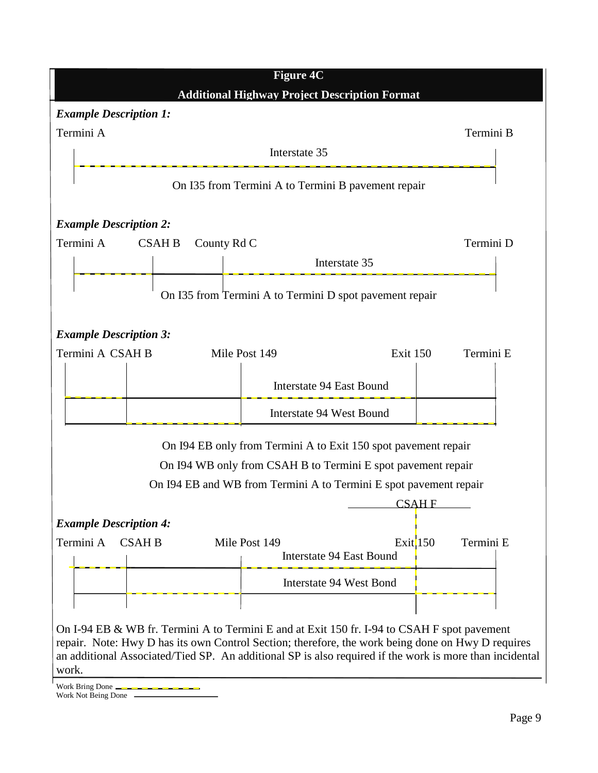

Work Bring Done

Work Not Being Done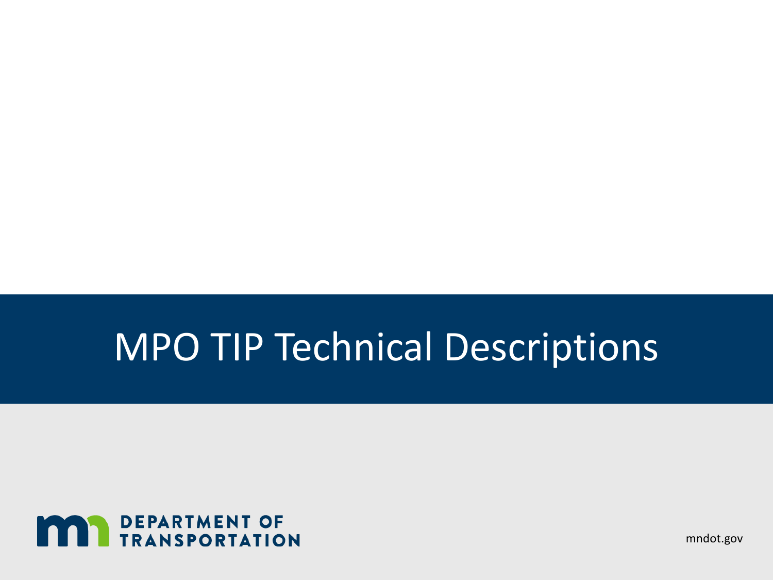# MPO TIP Technical Descriptions



mndot.gov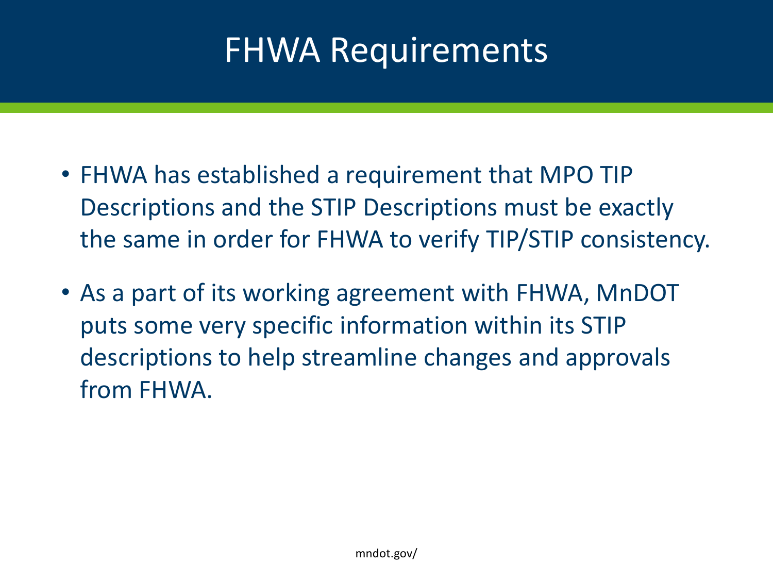# FHWA Requirements

- FHWA has established a requirement that MPO TIP Descriptions and the STIP Descriptions must be exactly the same in order for FHWA to verify TIP/STIP consistency.
- As a part of its working agreement with FHWA, MnDOT puts some very specific information within its STIP descriptions to help streamline changes and approvals from FHWA.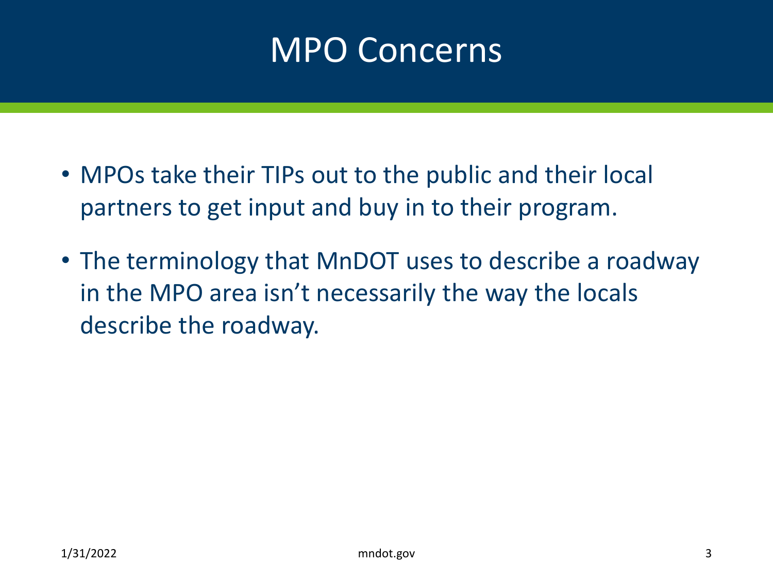## MPO Concerns

- MPOs take their TIPs out to the public and their local partners to get input and buy in to their program.
- The terminology that MnDOT uses to describe a roadway in the MPO area isn't necessarily the way the locals describe the roadway.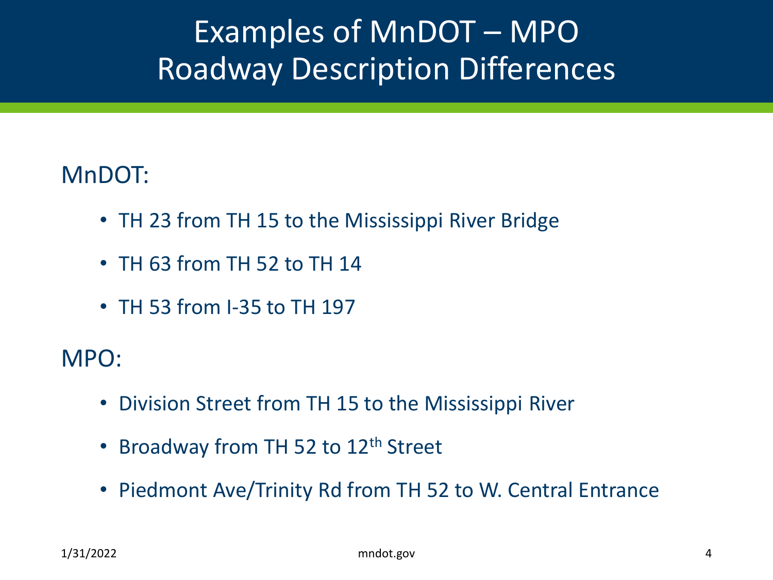### Examples of MnDOT – MPO Roadway Description Differences

### MnDOT:

- TH 23 from TH 15 to the Mississippi River Bridge
- TH 63 from TH 52 to TH 14
- TH 53 from I-35 to TH 197

MPO:

- Division Street from TH 15 to the Mississippi River
- Broadway from TH 52 to 12<sup>th</sup> Street
- Piedmont Ave/Trinity Rd from TH 52 to W. Central Entrance